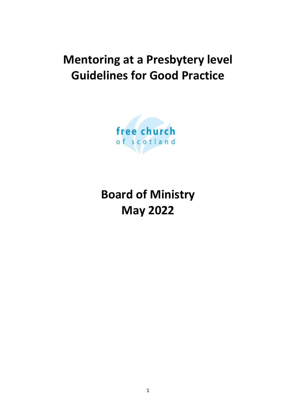# **Mentoring at a Presbytery level Guidelines for Good Practice**



# **Board of Ministry May 2022**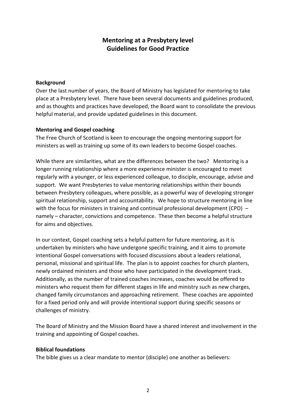# **Mentoring at a Presbytery level Guidelines for Good Practice**

# **Background**

Over the last number of years, the Board of Ministry has legislated for mentoring to take place at a Presbytery level. There have been several documents and guidelines produced, and as thoughts and practices have developed, the Board want to consolidate the previous helpful material, and provide updated guidelines in this document.

# **Mentoring and Gospel coaching**

The Free Church of Scotland is keen to encourage the ongoing mentoring support for ministers as well as training up some of its own leaders to become Gospel coaches.

While there are similarities, what are the differences between the two? Mentoring is a longer running relationship where a more experience minister is encouraged to meet regularly with a younger, or less experienced colleague, to disciple, encourage, advise and support. We want Presbyteries to value mentoring relationships within their bounds between Presbytery colleagues, where possible, as a powerful way of developing stronger spiritual relationship, support and accountability. We hope to structure mentoring in line with the focus for ministers in training and continual professional development (CPD) – namely – character, convictions and competence. These then become a helpful structure for aims and objectives.

In our context, Gospel coaching sets a helpful pattern for future mentoring, as it is undertaken by ministers who have undergone specific training, and it aims to promote intentional Gospel conversations with focused discussions about a leaders relational, personal, missional and spiritual life. The plan is to appoint coaches for church planters, newly ordained ministers and those who have participated in the development track. Additionally, as the number of trained coaches increases, coaches would be offered to ministers who request them for different stages in life and ministry such as new charges, changed family circumstances and approaching retirement. These coaches are appointed for a fixed period only and will provide intentional support during specific seasons or challenges of ministry.

The Board of Ministry and the Mission Board have a shared interest and involvement in the training and appointing of Gospel coaches.

## **Biblical foundations**

The bible gives us a clear mandate to mentor (disciple) one another as believers: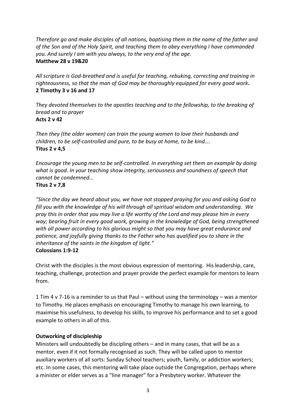*Therefore go and make disciples of all nations, baptising them in the name of the father and of the Son and of the Holy Spirit, and teaching them to obey everything I have commanded you. And surely I am with you always, to the very end of the age.* **Matthew 28 v 19&20**

*All scripture is God-breathed and is useful for teaching, rebuking, correcting and training in righteousness, so that the man of God may be thoroughly equipped for every good work.* **2 Timothy 3 v 16 and 17**

*They devoted themselves to the apostles teaching and to the fellowship, to the breaking of bread and to prayer* **Acts 2 v 42**

*Then they (the older women) can train the young women to love their husbands and children, to be self-controlled and pure, to be busy at home, to be kind….* **Titus 2 v 4,5**

*Encourage the young men to be self-controlled. In everything set them an example by doing what is good. In your teaching show integrity, seriousness and soundness of speech that cannot be condemned…*

# **Titus 2 v 7,8**

*"Since the day we heard about you, we have not stopped praying for you and asking God to fill you with the knowledge of his will through all spiritual wisdom and understanding. We pray this in order that you may live a life worthy of the Lord and may please him in every way; bearing fruit in every good work, growing in the knowledge of God, being strengthened with all power according to his glorious might so that you may have great endurance and patience, and joyfully giving thanks to the Father who has qualified you to share in the inheritance of the saints in the kingdom of light."* **Colossians 1:9-12**

Christ with the disciples is the most obvious expression of mentoring. His leadership, care, teaching, challenge, protection and prayer provide the perfect example for mentors to learn from.

1 Tim 4 v 7-16 is a reminder to us that Paul – without using the terminology – was a mentor to Timothy. He places emphasis on encouraging Timothy to manage his own learning, to maximise his usefulness, to develop his skills, to improve his performance and to set a good example to others in all of this.

# **Outworking of discipleship**

Ministers will undoubtedly be discipling others – and in many cases, that will be as a mentor, even if it not formally recognised as such. They will be called upon to mentor auxiliary workers of all sorts: Sunday School teachers; youth, family, or addiction workers; etc. In some cases, this mentoring will take place outside the Congregation, perhaps where a minister or elder serves as a "line manager" for a Presbytery worker. Whatever the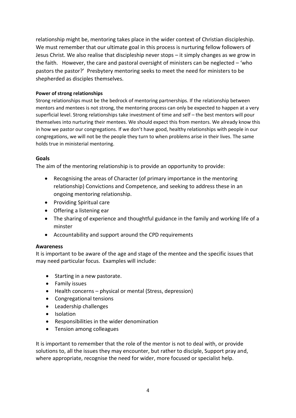relationship might be, mentoring takes place in the wider context of Christian discipleship. We must remember that our ultimate goal in this process is nurturing fellow followers of Jesus Christ. We also realise that discipleship never stops – it simply changes as we grow in the faith. However, the care and pastoral oversight of ministers can be neglected – 'who pastors the pastor?' Presbytery mentoring seeks to meet the need for ministers to be shepherded as disciples themselves.

# **Power of strong relationships**

Strong relationships must be the bedrock of mentoring partnerships. If the relationship between mentors and mentees is not strong, the mentoring process can only be expected to happen at a very superficial level. Strong relationships take investment of time and self – the best mentors will pour themselves into nurturing their mentees. We should expect this from mentors. We already know this in how we pastor our congregations. If we don't have good, healthy relationships with people in our congregations, we will not be the people they turn to when problems arise in their lives. The same holds true in ministerial mentoring.

# **Goals**

The aim of the mentoring relationship is to provide an opportunity to provide:

- Recognising the areas of Character (of primary importance in the mentoring relationship) Convictions and Competence, and seeking to address these in an ongoing mentoring relationship.
- Providing Spiritual care
- Offering a listening ear
- The sharing of experience and thoughtful guidance in the family and working life of a minster
- Accountability and support around the CPD requirements

## **Awareness**

It is important to be aware of the age and stage of the mentee and the specific issues that may need particular focus. Examples will include:

- Starting in a new pastorate.
- **•** Family issues
- Health concerns physical or mental (Stress, depression)
- Congregational tensions
- Leadership challenges
- Isolation
- Responsibilities in the wider denomination
- Tension among colleagues

It is important to remember that the role of the mentor is not to deal with, or provide solutions to, all the issues they may encounter, but rather to disciple, Support pray and, where appropriate, recognise the need for wider, more focused or specialist help.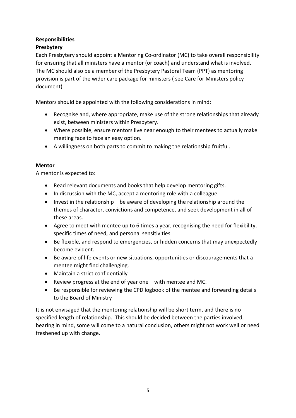# **Responsibilities**

# **Presbytery**

Each Presbytery should appoint a Mentoring Co-ordinator (MC) to take overall responsibility for ensuring that all ministers have a mentor (or coach) and understand what is involved. The MC should also be a member of the Presbytery Pastoral Team (PPT) as mentoring provision is part of the wider care package for ministers ( see Care for Ministers policy document)

Mentors should be appointed with the following considerations in mind:

- Recognise and, where appropriate, make use of the strong relationships that already exist, between ministers within Presbytery.
- Where possible, ensure mentors live near enough to their mentees to actually make meeting face to face an easy option.
- A willingness on both parts to commit to making the relationship fruitful.

# **Mentor**

A mentor is expected to:

- Read relevant documents and books that help develop mentoring gifts.
- In discussion with the MC, accept a mentoring role with a colleague.
- $\bullet$  Invest in the relationship be aware of developing the relationship around the themes of character, convictions and competence, and seek development in all of these areas.
- Agree to meet with mentee up to 6 times a year, recognising the need for flexibility, specific times of need, and personal sensitivities.
- Be flexible, and respond to emergencies, or hidden concerns that may unexpectedly become evident.
- Be aware of life events or new situations, opportunities or discouragements that a mentee might find challenging.
- Maintain a strict confidentially
- Review progress at the end of year one with mentee and MC.
- Be responsible for reviewing the CPD logbook of the mentee and forwarding details to the Board of Ministry

It is not envisaged that the mentoring relationship will be short term, and there is no specified length of relationship. This should be decided between the parties involved, bearing in mind, some will come to a natural conclusion, others might not work well or need freshened up with change.